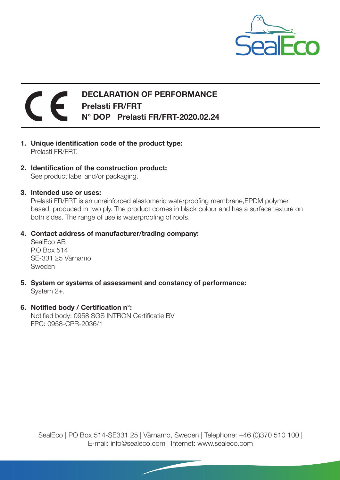

## DECLARATION OF PERFORMANCE Prelasti FR/FRT N° DOP Prelasti FR/FRT-2020.02.24

- 1. Unique identification code of the product type: Prelasti FR/FRT.
- 2. Identification of the construction product: See product label and/or packaging.
- 3. Intended use or uses:

Prelasti FR/FRT is an unreinforced elastomeric waterproofing membrane,EPDM polymer based, produced in two ply. The product comes in black colour and has a surface texture on both sides. The range of use is waterproofing of roofs.

4. Contact address of manufacturer/trading company:

SealEco AB P.O.Box 514 SE-331 25 Värnamo Sweden

- 5. System or systems of assessment and constancy of performance: System 2+.
- 6. Notified body / Certification n°: Notified body: 0958 SGS INTRON Certificatie BV FPC: 0958-CPR-2036/1